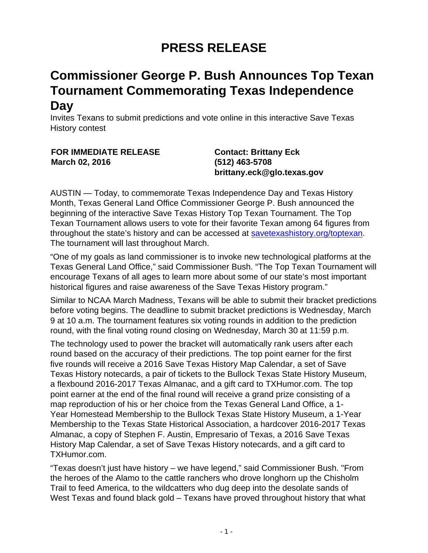## **PRESS RELEASE**

## **Commissioner George P. Bush Announces Top Texan Tournament Commemorating Texas Independence Day**

Invites Texans to submit predictions and vote online in this interactive Save Texas History contest

## **FOR IMMEDIATE RELEASE March 02, 2016**

**Contact: Brittany Eck (512) 463-5708 brittany.eck@glo.texas.gov**

AUSTIN — Today, to commemorate Texas Independence Day and Texas History Month, Texas General Land Office Commissioner George P. Bush announced the beginning of the interactive Save Texas History Top Texan Tournament. The Top Texan Tournament allows users to vote for their favorite Texan among 64 figures from throughout the state's history and can be accessed at [savetexashistory.org/toptexan.](http://www.glo.texas.gov/save-texas-history/toptexan/) The tournament will last throughout March.

"One of my goals as land commissioner is to invoke new technological platforms at the Texas General Land Office," said Commissioner Bush. "The Top Texan Tournament will encourage Texans of all ages to learn more about some of our state's most important historical figures and raise awareness of the Save Texas History program."

Similar to NCAA March Madness, Texans will be able to submit their bracket predictions before voting begins. The deadline to submit bracket predictions is Wednesday, March 9 at 10 a.m. The tournament features six voting rounds in addition to the prediction round, with the final voting round closing on Wednesday, March 30 at 11:59 p.m.

The technology used to power the bracket will automatically rank users after each round based on the accuracy of their predictions. The top point earner for the first five rounds will receive a 2016 Save Texas History Map Calendar, a set of Save Texas History notecards, a pair of tickets to the Bullock Texas State History Museum, a flexbound 2016-2017 Texas Almanac, and a gift card to TXHumor.com. The top point earner at the end of the final round will receive a grand prize consisting of a map reproduction of his or her choice from the Texas General Land Office, a 1- Year Homestead Membership to the Bullock Texas State History Museum, a 1-Year Membership to the Texas State Historical Association, a hardcover 2016-2017 Texas Almanac, a copy of Stephen F. Austin, Empresario of Texas, a 2016 Save Texas History Map Calendar, a set of Save Texas History notecards, and a gift card to TXHumor.com.

"Texas doesn't just have history – we have legend," said Commissioner Bush. "From the heroes of the Alamo to the cattle ranchers who drove longhorn up the Chisholm Trail to feed America, to the wildcatters who dug deep into the desolate sands of West Texas and found black gold – Texans have proved throughout history that what